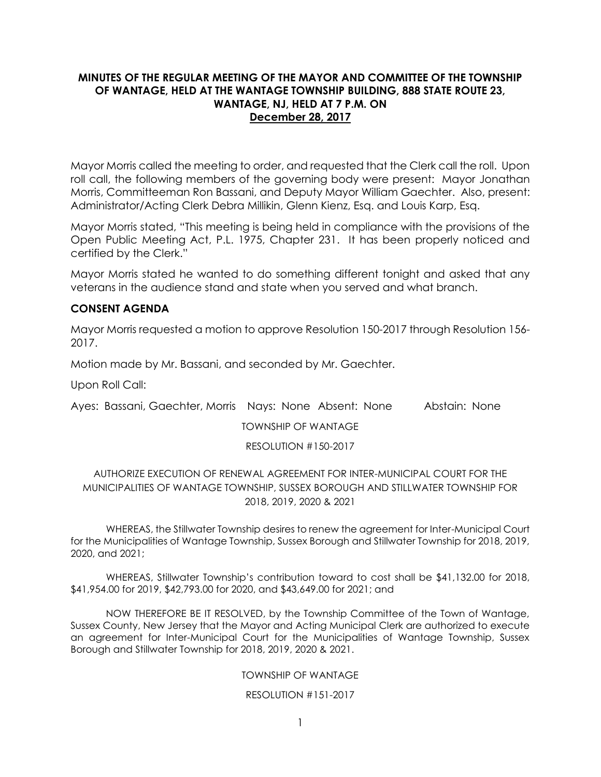# **MINUTES OF THE REGULAR MEETING OF THE MAYOR AND COMMITTEE OF THE TOWNSHIP OF WANTAGE, HELD AT THE WANTAGE TOWNSHIP BUILDING, 888 STATE ROUTE 23, WANTAGE, NJ, HELD AT 7 P.M. ON December 28, 2017**

Mayor Morris called the meeting to order, and requested that the Clerk call the roll. Upon roll call, the following members of the governing body were present: Mayor Jonathan Morris, Committeeman Ron Bassani, and Deputy Mayor William Gaechter. Also, present: Administrator/Acting Clerk Debra Millikin, Glenn Kienz, Esq. and Louis Karp, Esq.

Mayor Morris stated, "This meeting is being held in compliance with the provisions of the Open Public Meeting Act, P.L. 1975, Chapter 231. It has been properly noticed and certified by the Clerk."

Mayor Morris stated he wanted to do something different tonight and asked that any veterans in the audience stand and state when you served and what branch.

# **CONSENT AGENDA**

Mayor Morris requested a motion to approve Resolution 150-2017 through Resolution 156- 2017.

Motion made by Mr. Bassani, and seconded by Mr. Gaechter.

Upon Roll Call:

Ayes: Bassani, Gaechter, Morris Nays: None Absent: None Abstain: None

TOWNSHIP OF WANTAGE

RESOLUTION #150-2017

# AUTHORIZE EXECUTION OF RENEWAL AGREEMENT FOR INTER-MUNICIPAL COURT FOR THE MUNICIPALITIES OF WANTAGE TOWNSHIP, SUSSEX BOROUGH AND STILLWATER TOWNSHIP FOR 2018, 2019, 2020 & 2021

WHEREAS, the Stillwater Township desires to renew the agreement for Inter-Municipal Court for the Municipalities of Wantage Township, Sussex Borough and Stillwater Township for 2018, 2019, 2020, and 2021;

WHEREAS, Stillwater Township's contribution toward to cost shall be \$41,132.00 for 2018, \$41,954.00 for 2019, \$42,793.00 for 2020, and \$43,649.00 for 2021; and

NOW THEREFORE BE IT RESOLVED, by the Township Committee of the Town of Wantage, Sussex County, New Jersey that the Mayor and Acting Municipal Clerk are authorized to execute an agreement for Inter-Municipal Court for the Municipalities of Wantage Township, Sussex Borough and Stillwater Township for 2018, 2019, 2020 & 2021.

## TOWNSHIP OF WANTAGE

## RESOLUTION #151-2017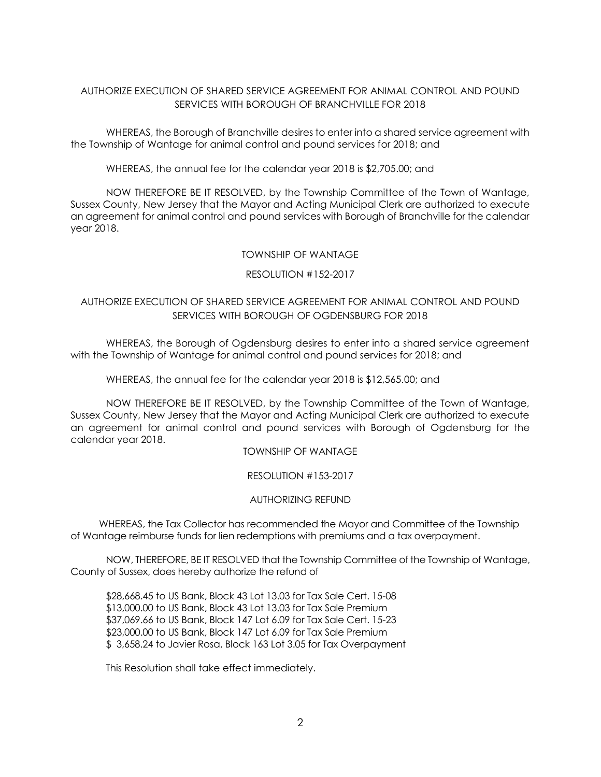# AUTHORIZE EXECUTION OF SHARED SERVICE AGREEMENT FOR ANIMAL CONTROL AND POUND SERVICES WITH BOROUGH OF BRANCHVILLE FOR 2018

WHEREAS, the Borough of Branchville desires to enter into a shared service agreement with the Township of Wantage for animal control and pound services for 2018; and

WHEREAS, the annual fee for the calendar year 2018 is \$2,705.00; and

NOW THEREFORE BE IT RESOLVED, by the Township Committee of the Town of Wantage, Sussex County, New Jersey that the Mayor and Acting Municipal Clerk are authorized to execute an agreement for animal control and pound services with Borough of Branchville for the calendar year 2018.

### TOWNSHIP OF WANTAGE

## RESOLUTION #152-2017

# AUTHORIZE EXECUTION OF SHARED SERVICE AGREEMENT FOR ANIMAL CONTROL AND POUND SERVICES WITH BOROUGH OF OGDENSBURG FOR 2018

WHEREAS, the Borough of Ogdensburg desires to enter into a shared service agreement with the Township of Wantage for animal control and pound services for 2018; and

WHEREAS, the annual fee for the calendar year 2018 is \$12,565.00; and

NOW THEREFORE BE IT RESOLVED, by the Township Committee of the Town of Wantage, Sussex County, New Jersey that the Mayor and Acting Municipal Clerk are authorized to execute an agreement for animal control and pound services with Borough of Ogdensburg for the calendar year 2018.

TOWNSHIP OF WANTAGE

RESOLUTION #153-2017

## AUTHORIZING REFUND

 WHEREAS, the Tax Collector has recommended the Mayor and Committee of the Township of Wantage reimburse funds for lien redemptions with premiums and a tax overpayment.

NOW, THEREFORE, BE IT RESOLVED that the Township Committee of the Township of Wantage, County of Sussex, does hereby authorize the refund of

\$28,668.45 to US Bank, Block 43 Lot 13.03 for Tax Sale Cert. 15-08 \$13,000.00 to US Bank, Block 43 Lot 13.03 for Tax Sale Premium \$37,069.66 to US Bank, Block 147 Lot 6.09 for Tax Sale Cert. 15-23 \$23,000.00 to US Bank, Block 147 Lot 6.09 for Tax Sale Premium \$ 3,658.24 to Javier Rosa, Block 163 Lot 3.05 for Tax Overpayment

This Resolution shall take effect immediately.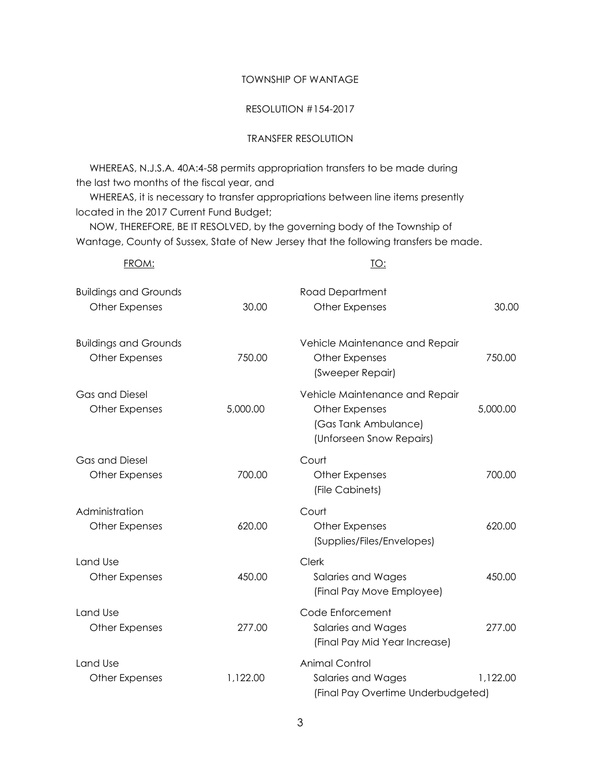#### TOWNSHIP OF WANTAGE

#### RESOLUTION #154-2017

## TRANSFER RESOLUTION

 WHEREAS, N.J.S.A. 40A:4-58 permits appropriation transfers to be made during the last two months of the fiscal year, and

 WHEREAS, it is necessary to transfer appropriations between line items presently located in the 2017 Current Fund Budget;

 NOW, THEREFORE, BE IT RESOLVED, by the governing body of the Township of Wantage, County of Sussex, State of New Jersey that the following transfers be made.

| FROM:                                                 |          | <u>TO:</u>                                                                                           |          |
|-------------------------------------------------------|----------|------------------------------------------------------------------------------------------------------|----------|
| <b>Buildings and Grounds</b><br>Other Expenses        | 30.00    | <b>Road Department</b><br>Other Expenses                                                             | 30.00    |
| <b>Buildings and Grounds</b><br><b>Other Expenses</b> | 750.00   | Vehicle Maintenance and Repair<br><b>Other Expenses</b><br>(Sweeper Repair)                          | 750.00   |
| <b>Gas and Diesel</b><br><b>Other Expenses</b>        | 5,000.00 | Vehicle Maintenance and Repair<br>Other Expenses<br>(Gas Tank Ambulance)<br>(Unforseen Snow Repairs) | 5,000.00 |
| <b>Gas and Diesel</b><br><b>Other Expenses</b>        | 700.00   | Court<br>Other Expenses<br>(File Cabinets)                                                           | 700.00   |
| Administration<br><b>Other Expenses</b>               | 620.00   | Court<br>Other Expenses<br>(Supplies/Files/Envelopes)                                                | 620.00   |
| Land Use<br><b>Other Expenses</b>                     | 450.00   | Clerk<br>Salaries and Wages<br>(Final Pay Move Employee)                                             | 450.00   |
| Land Use<br>Other Expenses                            | 277.00   | Code Enforcement<br>Salaries and Wages<br>(Final Pay Mid Year Increase)                              | 277.00   |
| Land Use<br>Other Expenses                            | 1,122.00 | <b>Animal Control</b><br>Salaries and Wages<br>(Final Pay Overtime Underbudgeted)                    | 1,122.00 |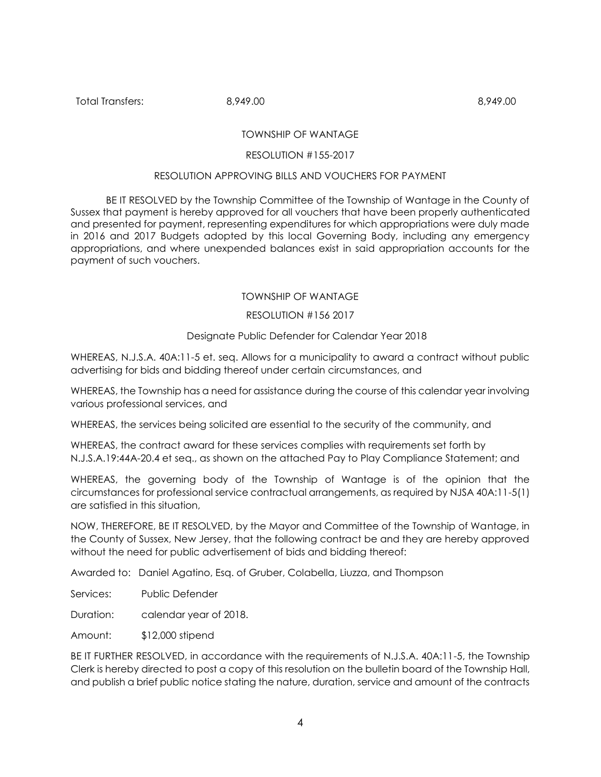Total Transfers: 8,949.00 8,949.00

## TOWNSHIP OF WANTAGE

#### RESOLUTION #155-2017

#### RESOLUTION APPROVING BILLS AND VOUCHERS FOR PAYMENT

BE IT RESOLVED by the Township Committee of the Township of Wantage in the County of Sussex that payment is hereby approved for all vouchers that have been properly authenticated and presented for payment, representing expenditures for which appropriations were duly made in 2016 and 2017 Budgets adopted by this local Governing Body, including any emergency appropriations, and where unexpended balances exist in said appropriation accounts for the payment of such vouchers.

### TOWNSHIP OF WANTAGE

### RESOLUTION #156 2017

### Designate Public Defender for Calendar Year 2018

WHEREAS, N.J.S.A. 40A:11-5 et. seq. Allows for a municipality to award a contract without public advertising for bids and bidding thereof under certain circumstances, and

WHEREAS, the Township has a need for assistance during the course of this calendar year involving various professional services, and

WHEREAS, the services being solicited are essential to the security of the community, and

WHEREAS, the contract award for these services complies with requirements set forth by N.J.S.A.19:44A-20.4 et seq., as shown on the attached Pay to Play Compliance Statement; and

WHEREAS, the governing body of the Township of Wantage is of the opinion that the circumstances for professional service contractual arrangements, as required by NJSA 40A:11-5(1) are satisfied in this situation,

NOW, THEREFORE, BE IT RESOLVED, by the Mayor and Committee of the Township of Wantage, in the County of Sussex, New Jersey, that the following contract be and they are hereby approved without the need for public advertisement of bids and bidding thereof:

Awarded to: Daniel Agatino, Esq. of Gruber, Colabella, Liuzza, and Thompson

Services: Public Defender

Duration: calendar year of 2018.

Amount: \$12,000 stipend

BE IT FURTHER RESOLVED, in accordance with the requirements of N.J.S.A. 40A:11-5, the Township Clerk is hereby directed to post a copy of this resolution on the bulletin board of the Township Hall, and publish a brief public notice stating the nature, duration, service and amount of the contracts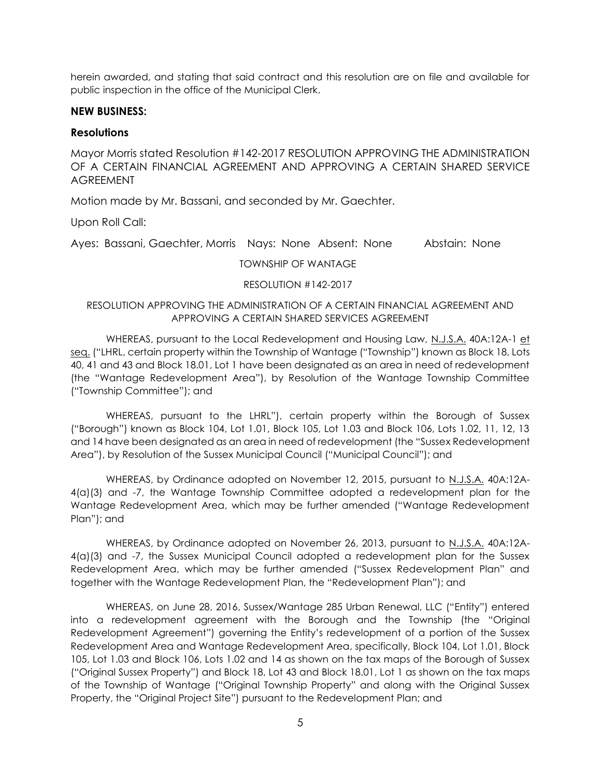herein awarded, and stating that said contract and this resolution are on file and available for public inspection in the office of the Municipal Clerk.

# **NEW BUSINESS:**

# **Resolutions**

Mayor Morris stated Resolution #142-2017 RESOLUTION APPROVING THE ADMINISTRATION OF A CERTAIN FINANCIAL AGREEMENT AND APPROVING A CERTAIN SHARED SERVICE **AGREEMENT** 

Motion made by Mr. Bassani, and seconded by Mr. Gaechter.

Upon Roll Call:

Ayes: Bassani, Gaechter, Morris Nays: None Absent: None Abstain: None

TOWNSHIP OF WANTAGE

## RESOLUTION #142-2017

# RESOLUTION APPROVING THE ADMINISTRATION OF A CERTAIN FINANCIAL AGREEMENT AND APPROVING A CERTAIN SHARED SERVICES AGREEMENT

WHEREAS, pursuant to the Local Redevelopment and Housing Law, N.J.S.A. 40A:12A-1 et seq. ("LHRL, certain property within the Township of Wantage ("Township") known as Block 18, Lots 40, 41 and 43 and Block 18.01, Lot 1 have been designated as an area in need of redevelopment (the "Wantage Redevelopment Area"), by Resolution of the Wantage Township Committee ("Township Committee"); and

WHEREAS, pursuant to the LHRL"), certain property within the Borough of Sussex ("Borough") known as Block 104, Lot 1.01, Block 105, Lot 1.03 and Block 106, Lots 1.02, 11, 12, 13 and 14 have been designated as an area in need of redevelopment (the "Sussex Redevelopment Area"), by Resolution of the Sussex Municipal Council ("Municipal Council"); and

WHEREAS, by Ordinance adopted on November 12, 2015, pursuant to N.J.S.A. 40A:12A-4(a)(3) and -7, the Wantage Township Committee adopted a redevelopment plan for the Wantage Redevelopment Area, which may be further amended ("Wantage Redevelopment Plan"); and

WHEREAS, by Ordinance adopted on November 26, 2013, pursuant to N.J.S.A. 40A:12A-4(a)(3) and -7, the Sussex Municipal Council adopted a redevelopment plan for the Sussex Redevelopment Area, which may be further amended ("Sussex Redevelopment Plan" and together with the Wantage Redevelopment Plan, the "Redevelopment Plan"); and

WHEREAS, on June 28, 2016, Sussex/Wantage 285 Urban Renewal, LLC ("Entity") entered into a redevelopment agreement with the Borough and the Township (the "Original Redevelopment Agreement") governing the Entity's redevelopment of a portion of the Sussex Redevelopment Area and Wantage Redevelopment Area, specifically, Block 104, Lot 1.01, Block 105, Lot 1.03 and Block 106, Lots 1.02 and 14 as shown on the tax maps of the Borough of Sussex ("Original Sussex Property") and Block 18, Lot 43 and Block 18.01, Lot 1 as shown on the tax maps of the Township of Wantage ("Original Township Property" and along with the Original Sussex Property, the "Original Project Site") pursuant to the Redevelopment Plan; and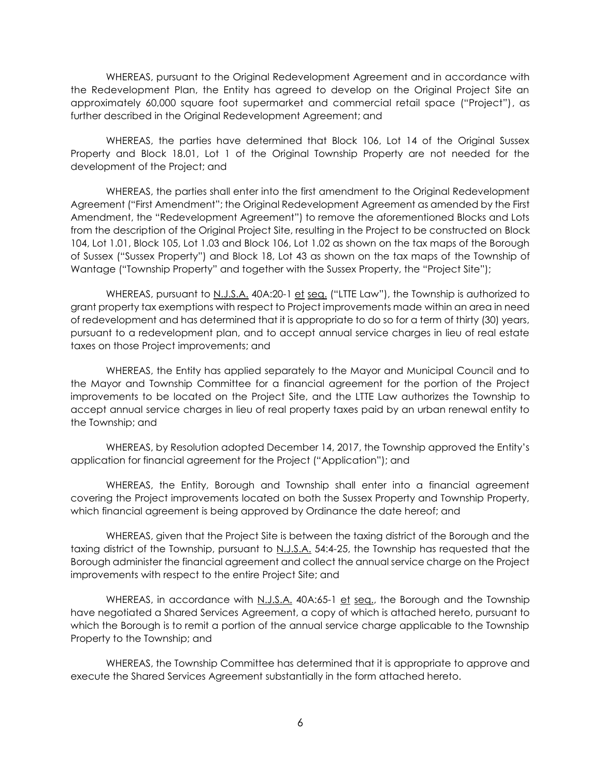WHEREAS, pursuant to the Original Redevelopment Agreement and in accordance with the Redevelopment Plan, the Entity has agreed to develop on the Original Project Site an approximately 60,000 square foot supermarket and commercial retail space ("Project"), as further described in the Original Redevelopment Agreement; and

WHEREAS, the parties have determined that Block 106, Lot 14 of the Original Sussex Property and Block 18.01, Lot 1 of the Original Township Property are not needed for the development of the Project; and

WHEREAS, the parties shall enter into the first amendment to the Original Redevelopment Agreement ("First Amendment"; the Original Redevelopment Agreement as amended by the First Amendment, the "Redevelopment Agreement") to remove the aforementioned Blocks and Lots from the description of the Original Project Site, resulting in the Project to be constructed on Block 104, Lot 1.01, Block 105, Lot 1.03 and Block 106, Lot 1.02 as shown on the tax maps of the Borough of Sussex ("Sussex Property") and Block 18, Lot 43 as shown on the tax maps of the Township of Wantage ("Township Property" and together with the Sussex Property, the "Project Site");

WHEREAS, pursuant to N.J.S.A. 40A:20-1 et seq. ("LITE Law"), the Township is authorized to grant property tax exemptions with respect to Project improvements made within an area in need of redevelopment and has determined that it is appropriate to do so for a term of thirty (30) years, pursuant to a redevelopment plan, and to accept annual service charges in lieu of real estate taxes on those Project improvements; and

WHEREAS, the Entity has applied separately to the Mayor and Municipal Council and to the Mayor and Township Committee for a financial agreement for the portion of the Project improvements to be located on the Project Site, and the LTTE Law authorizes the Township to accept annual service charges in lieu of real property taxes paid by an urban renewal entity to the Township; and

WHEREAS, by Resolution adopted December 14, 2017, the Township approved the Entity's application for financial agreement for the Project ("Application"); and

WHEREAS, the Entity, Borough and Township shall enter into a financial agreement covering the Project improvements located on both the Sussex Property and Township Property, which financial agreement is being approved by Ordinance the date hereof; and

WHEREAS, given that the Project Site is between the taxing district of the Borough and the taxing district of the Township, pursuant to N.J.S.A. 54:4-25, the Township has requested that the Borough administer the financial agreement and collect the annual service charge on the Project improvements with respect to the entire Project Site; and

WHEREAS, in accordance with N.J.S.A. 40A:65-1 et seq., the Borough and the Township have negotiated a Shared Services Agreement, a copy of which is attached hereto, pursuant to which the Borough is to remit a portion of the annual service charge applicable to the Township Property to the Township; and

WHEREAS, the Township Committee has determined that it is appropriate to approve and execute the Shared Services Agreement substantially in the form attached hereto.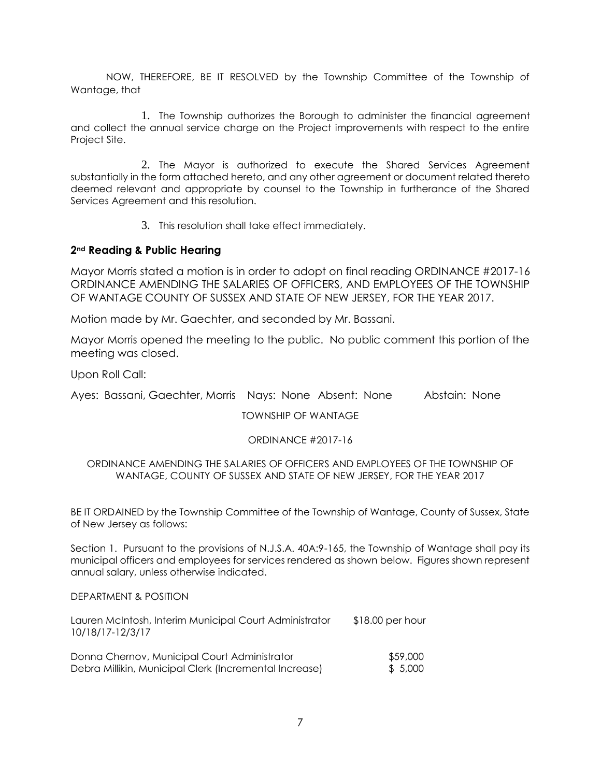NOW, THEREFORE, BE IT RESOLVED by the Township Committee of the Township of Wantage, that

1. The Township authorizes the Borough to administer the financial agreement and collect the annual service charge on the Project improvements with respect to the entire Project Site.

2. The Mayor is authorized to execute the Shared Services Agreement substantially in the form attached hereto, and any other agreement or document related thereto deemed relevant and appropriate by counsel to the Township in furtherance of the Shared Services Agreement and this resolution.

3. This resolution shall take effect immediately.

## **2nd Reading & Public Hearing**

Mayor Morris stated a motion is in order to adopt on final reading ORDINANCE #2017-16 ORDINANCE AMENDING THE SALARIES OF OFFICERS, AND EMPLOYEES OF THE TOWNSHIP OF WANTAGE COUNTY OF SUSSEX AND STATE OF NEW JERSEY, FOR THE YEAR 2017.

Motion made by Mr. Gaechter, and seconded by Mr. Bassani.

Mayor Morris opened the meeting to the public. No public comment this portion of the meeting was closed.

Upon Roll Call:

Ayes: Bassani, Gaechter, Morris Nays: None Absent: None Abstain: None

TOWNSHIP OF WANTAGE

## ORDINANCE #2017-16

## ORDINANCE AMENDING THE SALARIES OF OFFICERS AND EMPLOYEES OF THE TOWNSHIP OF WANTAGE, COUNTY OF SUSSEX AND STATE OF NEW JERSEY, FOR THE YEAR 2017

BE IT ORDAINED by the Township Committee of the Township of Wantage, County of Sussex, State of New Jersey as follows:

Section 1. Pursuant to the provisions of N.J.S.A. 40A:9-165, the Township of Wantage shall pay its municipal officers and employees for services rendered as shown below. Figures shown represent annual salary, unless otherwise indicated.

#### DEPARTMENT & POSITION

| Lauren McIntosh, Interim Municipal Court Administrator<br>10/18/17-12/3/17 | $$18.00$ per hour |
|----------------------------------------------------------------------------|-------------------|
| Donna Chernov, Municipal Court Administrator                               | \$59,000          |
| Debra Millikin, Municipal Clerk (Incremental Increase)                     | \$5,000           |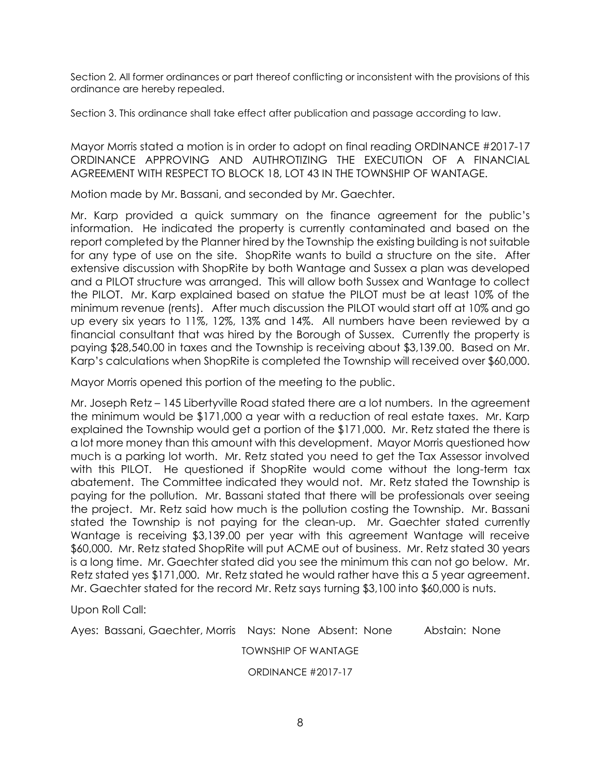Section 2. All former ordinances or part thereof conflicting or inconsistent with the provisions of this ordinance are hereby repealed.

Section 3. This ordinance shall take effect after publication and passage according to law.

Mayor Morris stated a motion is in order to adopt on final reading ORDINANCE #2017-17 ORDINANCE APPROVING AND AUTHROTIZING THE EXECUTION OF A FINANCIAL AGREEMENT WITH RESPECT TO BLOCK 18, LOT 43 IN THE TOWNSHIP OF WANTAGE.

Motion made by Mr. Bassani, and seconded by Mr. Gaechter.

Mr. Karp provided a quick summary on the finance agreement for the public's information. He indicated the property is currently contaminated and based on the report completed by the Planner hired by the Township the existing building is not suitable for any type of use on the site. ShopRite wants to build a structure on the site. After extensive discussion with ShopRite by both Wantage and Sussex a plan was developed and a PILOT structure was arranged. This will allow both Sussex and Wantage to collect the PILOT. Mr. Karp explained based on statue the PILOT must be at least 10% of the minimum revenue (rents). After much discussion the PILOT would start off at 10% and go up every six years to 11%, 12%, 13% and 14%. All numbers have been reviewed by a financial consultant that was hired by the Borough of Sussex. Currently the property is paying \$28,540.00 in taxes and the Township is receiving about \$3,139.00. Based on Mr. Karp's calculations when ShopRite is completed the Township will received over \$60,000.

Mayor Morris opened this portion of the meeting to the public.

Mr. Joseph Retz – 145 Libertyville Road stated there are a lot numbers. In the agreement the minimum would be \$171,000 a year with a reduction of real estate taxes. Mr. Karp explained the Township would get a portion of the \$171,000. Mr. Retz stated the there is a lot more money than this amount with this development. Mayor Morris questioned how much is a parking lot worth. Mr. Retz stated you need to get the Tax Assessor involved with this PILOT. He questioned if ShopRite would come without the long-term tax abatement. The Committee indicated they would not. Mr. Retz stated the Township is paying for the pollution. Mr. Bassani stated that there will be professionals over seeing the project. Mr. Retz said how much is the pollution costing the Township. Mr. Bassani stated the Township is not paying for the clean-up. Mr. Gaechter stated currently Wantage is receiving \$3,139.00 per year with this agreement Wantage will receive \$60,000. Mr. Retz stated ShopRite will put ACME out of business. Mr. Retz stated 30 years is a long time. Mr. Gaechter stated did you see the minimum this can not go below. Mr. Retz stated yes \$171,000. Mr. Retz stated he would rather have this a 5 year agreement. Mr. Gaechter stated for the record Mr. Retz says turning \$3,100 into \$60,000 is nuts.

Upon Roll Call:

Ayes: Bassani, Gaechter, Morris Nays: None Absent: None Abstain: None

TOWNSHIP OF WANTAGE

ORDINANCE #2017-17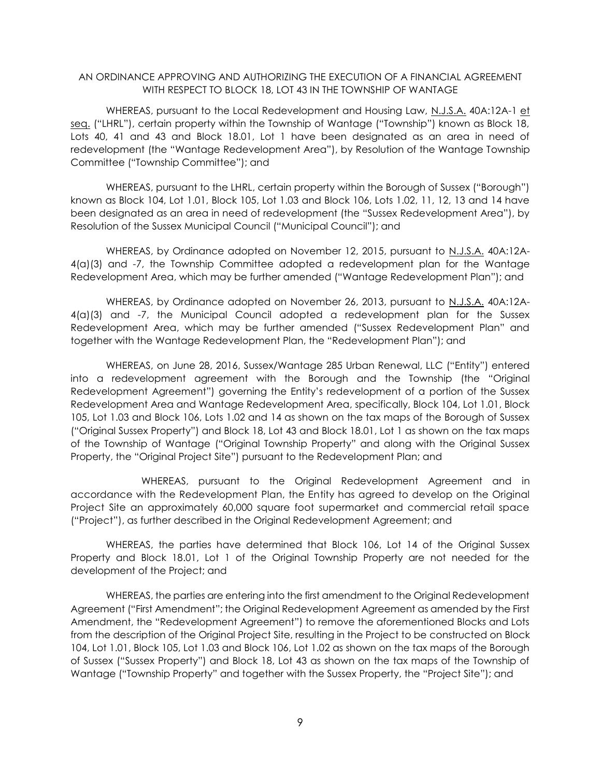## AN ORDINANCE APPROVING AND AUTHORIZING THE EXECUTION OF A FINANCIAL AGREEMENT WITH RESPECT TO BLOCK 18, LOT 43 IN THE TOWNSHIP OF WANTAGE

WHEREAS, pursuant to the Local Redevelopment and Housing Law, N.J.S.A. 40A:12A-1 et seq. ("LHRL"), certain property within the Township of Wantage ("Township") known as Block 18, Lots 40, 41 and 43 and Block 18.01, Lot 1 have been designated as an area in need of redevelopment (the "Wantage Redevelopment Area"), by Resolution of the Wantage Township Committee ("Township Committee"); and

WHEREAS, pursuant to the LHRL, certain property within the Borough of Sussex ("Borough") known as Block 104, Lot 1.01, Block 105, Lot 1.03 and Block 106, Lots 1.02, 11, 12, 13 and 14 have been designated as an area in need of redevelopment (the "Sussex Redevelopment Area"), by Resolution of the Sussex Municipal Council ("Municipal Council"); and

WHEREAS, by Ordinance adopted on November 12, 2015, pursuant to N.J.S.A. 40A:12A-4(a)(3) and -7, the Township Committee adopted a redevelopment plan for the Wantage Redevelopment Area, which may be further amended ("Wantage Redevelopment Plan"); and

WHEREAS, by Ordinance adopted on November 26, 2013, pursuant to N.J.S.A. 40A:12A-4(a)(3) and -7, the Municipal Council adopted a redevelopment plan for the Sussex Redevelopment Area, which may be further amended ("Sussex Redevelopment Plan" and together with the Wantage Redevelopment Plan, the "Redevelopment Plan"); and

WHEREAS, on June 28, 2016, Sussex/Wantage 285 Urban Renewal, LLC ("Entity") entered into a redevelopment agreement with the Borough and the Township (the "Original Redevelopment Agreement") governing the Entity's redevelopment of a portion of the Sussex Redevelopment Area and Wantage Redevelopment Area, specifically, Block 104, Lot 1.01, Block 105, Lot 1.03 and Block 106, Lots 1.02 and 14 as shown on the tax maps of the Borough of Sussex ("Original Sussex Property") and Block 18, Lot 43 and Block 18.01, Lot 1 as shown on the tax maps of the Township of Wantage ("Original Township Property" and along with the Original Sussex Property, the "Original Project Site") pursuant to the Redevelopment Plan; and

WHEREAS, pursuant to the Original Redevelopment Agreement and in accordance with the Redevelopment Plan, the Entity has agreed to develop on the Original Project Site an approximately 60,000 square foot supermarket and commercial retail space ("Project"), as further described in the Original Redevelopment Agreement; and

WHEREAS, the parties have determined that Block 106, Lot 14 of the Original Sussex Property and Block 18.01, Lot 1 of the Original Township Property are not needed for the development of the Project; and

WHEREAS, the parties are entering into the first amendment to the Original Redevelopment Agreement ("First Amendment"; the Original Redevelopment Agreement as amended by the First Amendment, the "Redevelopment Agreement") to remove the aforementioned Blocks and Lots from the description of the Original Project Site, resulting in the Project to be constructed on Block 104, Lot 1.01, Block 105, Lot 1.03 and Block 106, Lot 1.02 as shown on the tax maps of the Borough of Sussex ("Sussex Property") and Block 18, Lot 43 as shown on the tax maps of the Township of Wantage ("Township Property" and together with the Sussex Property, the "Project Site"); and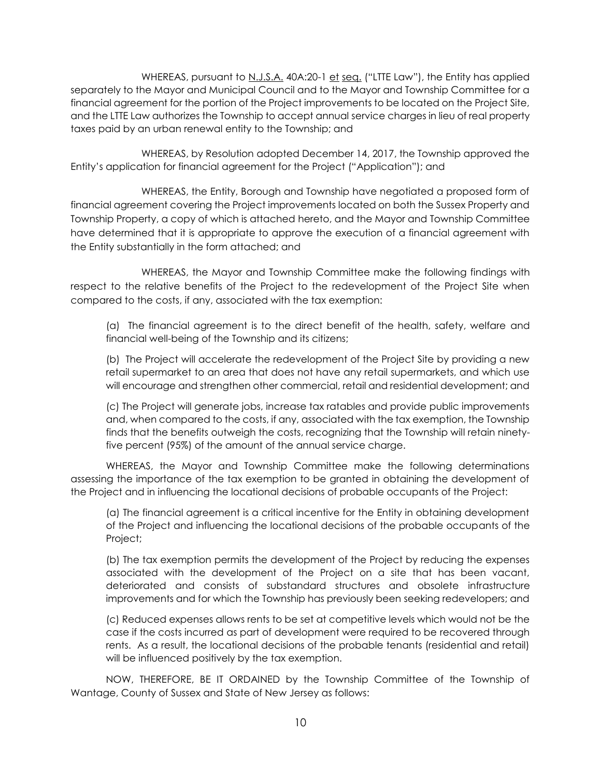WHEREAS, pursuant to N.J.S.A. 40A:20-1 et seq. ("LTTE Law"), the Entity has applied separately to the Mayor and Municipal Council and to the Mayor and Township Committee for a financial agreement for the portion of the Project improvements to be located on the Project Site, and the LTTE Law authorizes the Township to accept annual service charges in lieu of real property taxes paid by an urban renewal entity to the Township; and

WHEREAS, by Resolution adopted December 14, 2017, the Township approved the Entity's application for financial agreement for the Project ("Application"); and

WHEREAS, the Entity, Borough and Township have negotiated a proposed form of financial agreement covering the Project improvements located on both the Sussex Property and Township Property, a copy of which is attached hereto, and the Mayor and Township Committee have determined that it is appropriate to approve the execution of a financial agreement with the Entity substantially in the form attached; and

WHEREAS, the Mayor and Township Committee make the following findings with respect to the relative benefits of the Project to the redevelopment of the Project Site when compared to the costs, if any, associated with the tax exemption:

(a) The financial agreement is to the direct benefit of the health, safety, welfare and financial well-being of the Township and its citizens;

(b) The Project will accelerate the redevelopment of the Project Site by providing a new retail supermarket to an area that does not have any retail supermarkets, and which use will encourage and strengthen other commercial, retail and residential development; and

(c) The Project will generate jobs, increase tax ratables and provide public improvements and, when compared to the costs, if any, associated with the tax exemption, the Township finds that the benefits outweigh the costs, recognizing that the Township will retain ninetyfive percent (95%) of the amount of the annual service charge.

WHEREAS, the Mayor and Township Committee make the following determinations assessing the importance of the tax exemption to be granted in obtaining the development of the Project and in influencing the locational decisions of probable occupants of the Project:

(a) The financial agreement is a critical incentive for the Entity in obtaining development of the Project and influencing the locational decisions of the probable occupants of the Project;

(b) The tax exemption permits the development of the Project by reducing the expenses associated with the development of the Project on a site that has been vacant, deteriorated and consists of substandard structures and obsolete infrastructure improvements and for which the Township has previously been seeking redevelopers; and

(c) Reduced expenses allows rents to be set at competitive levels which would not be the case if the costs incurred as part of development were required to be recovered through rents. As a result, the locational decisions of the probable tenants (residential and retail) will be influenced positively by the tax exemption.

NOW, THEREFORE, BE IT ORDAINED by the Township Committee of the Township of Wantage, County of Sussex and State of New Jersey as follows: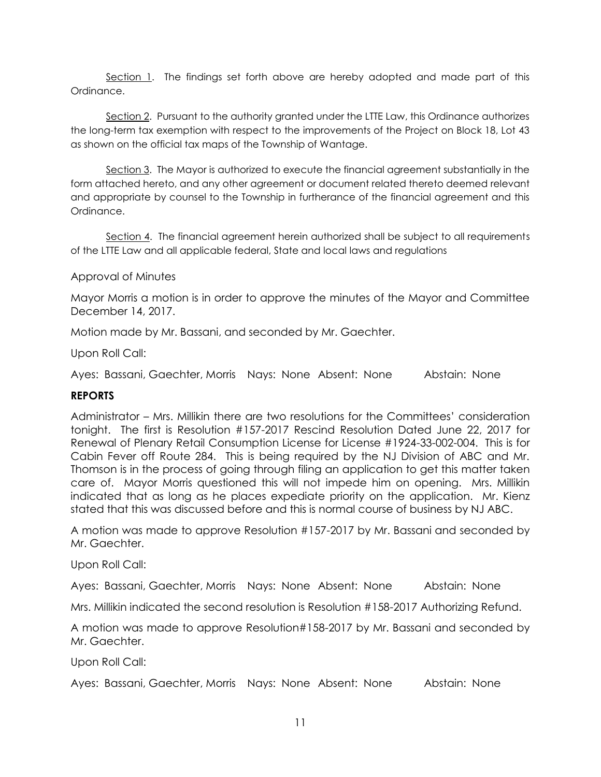Section 1. The findings set forth above are hereby adopted and made part of this Ordinance.

Section 2. Pursuant to the authority granted under the LTTE Law, this Ordinance authorizes the long-term tax exemption with respect to the improvements of the Project on Block 18, Lot 43 as shown on the official tax maps of the Township of Wantage.

Section 3. The Mayor is authorized to execute the financial agreement substantially in the form attached hereto, and any other agreement or document related thereto deemed relevant and appropriate by counsel to the Township in furtherance of the financial agreement and this Ordinance.

Section 4. The financial agreement herein authorized shall be subject to all requirements of the LTTE Law and all applicable federal, State and local laws and regulations

# Approval of Minutes

Mayor Morris a motion is in order to approve the minutes of the Mayor and Committee December 14, 2017.

Motion made by Mr. Bassani, and seconded by Mr. Gaechter.

Upon Roll Call:

Ayes: Bassani, Gaechter, Morris Nays: None Absent: None Abstain: None

# **REPORTS**

Administrator – Mrs. Millikin there are two resolutions for the Committees' consideration tonight. The first is Resolution #157-2017 Rescind Resolution Dated June 22, 2017 for Renewal of Plenary Retail Consumption License for License #1924-33-002-004. This is for Cabin Fever off Route 284. This is being required by the NJ Division of ABC and Mr. Thomson is in the process of going through filing an application to get this matter taken care of. Mayor Morris questioned this will not impede him on opening. Mrs. Millikin indicated that as long as he places expediate priority on the application. Mr. Kienz stated that this was discussed before and this is normal course of business by NJ ABC.

A motion was made to approve Resolution #157-2017 by Mr. Bassani and seconded by Mr. Gaechter.

Upon Roll Call:

Ayes: Bassani, Gaechter, Morris Nays: None Absent: None Abstain: None

Mrs. Millikin indicated the second resolution is Resolution #158-2017 Authorizing Refund.

A motion was made to approve Resolution#158-2017 by Mr. Bassani and seconded by Mr. Gaechter.

Upon Roll Call:

Ayes: Bassani, Gaechter, Morris Nays: None Absent: None Abstain: None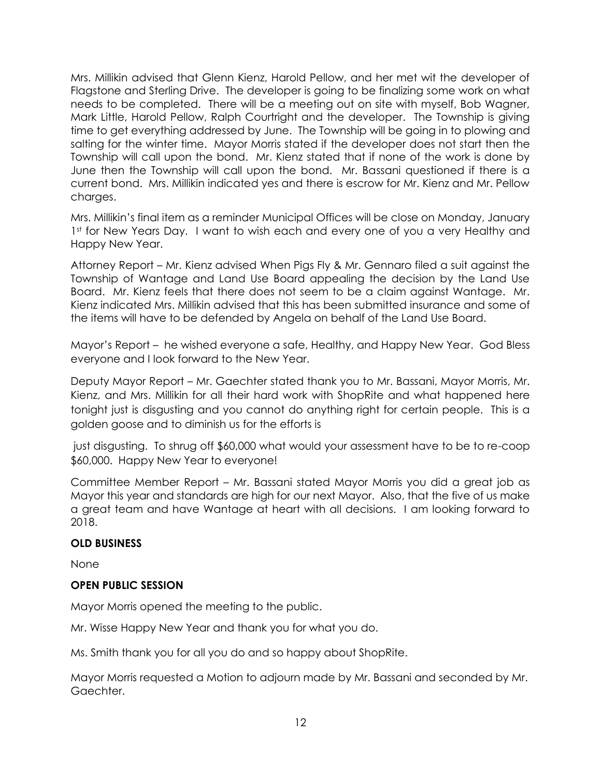Mrs. Millikin advised that Glenn Kienz, Harold Pellow, and her met wit the developer of Flagstone and Sterling Drive. The developer is going to be finalizing some work on what needs to be completed. There will be a meeting out on site with myself, Bob Wagner, Mark Little, Harold Pellow, Ralph Courtright and the developer. The Township is giving time to get everything addressed by June. The Township will be going in to plowing and salting for the winter time. Mayor Morris stated if the developer does not start then the Township will call upon the bond. Mr. Kienz stated that if none of the work is done by June then the Township will call upon the bond. Mr. Bassani questioned if there is a current bond. Mrs. Millikin indicated yes and there is escrow for Mr. Kienz and Mr. Pellow charges.

Mrs. Millikin's final item as a reminder Municipal Offices will be close on Monday, January 1<sup>st</sup> for New Years Day. I want to wish each and every one of you a very Healthy and Happy New Year.

Attorney Report – Mr. Kienz advised When Pigs Fly & Mr. Gennaro filed a suit against the Township of Wantage and Land Use Board appealing the decision by the Land Use Board. Mr. Kienz feels that there does not seem to be a claim against Wantage. Mr. Kienz indicated Mrs. Millikin advised that this has been submitted insurance and some of the items will have to be defended by Angela on behalf of the Land Use Board.

Mayor's Report – he wished everyone a safe, Healthy, and Happy New Year. God Bless everyone and I look forward to the New Year.

Deputy Mayor Report – Mr. Gaechter stated thank you to Mr. Bassani, Mayor Morris, Mr. Kienz, and Mrs. Millikin for all their hard work with ShopRite and what happened here tonight just is disgusting and you cannot do anything right for certain people. This is a golden goose and to diminish us for the efforts is

just disgusting. To shrug off \$60,000 what would your assessment have to be to re-coop \$60,000. Happy New Year to everyone!

Committee Member Report – Mr. Bassani stated Mayor Morris you did a great job as Mayor this year and standards are high for our next Mayor. Also, that the five of us make a great team and have Wantage at heart with all decisions. I am looking forward to 2018.

# **OLD BUSINESS**

None

# **OPEN PUBLIC SESSION**

Mayor Morris opened the meeting to the public.

Mr. Wisse Happy New Year and thank you for what you do.

Ms. Smith thank you for all you do and so happy about ShopRite.

Mayor Morris requested a Motion to adjourn made by Mr. Bassani and seconded by Mr. Gaechter.